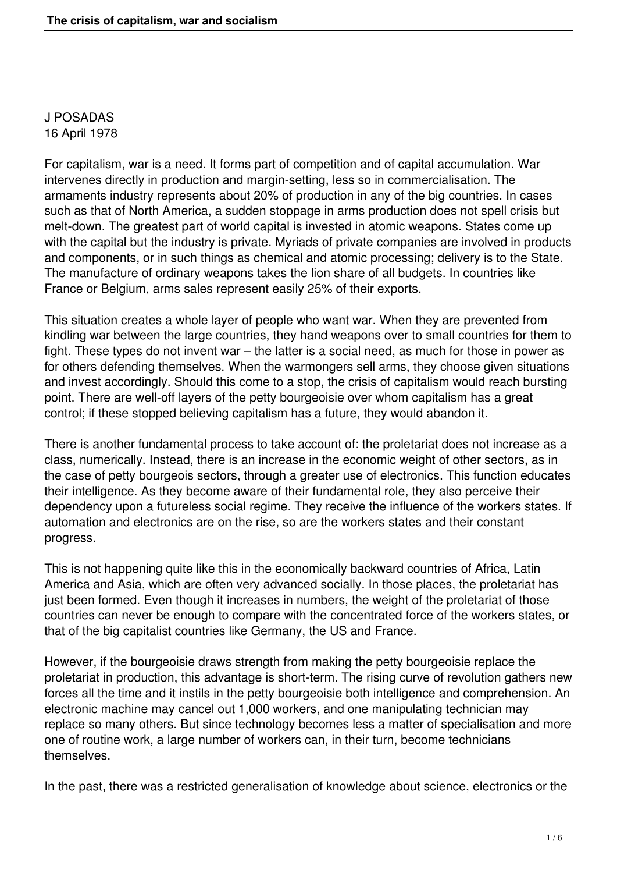J POSADAS 16 April 1978

For capitalism, war is a need. It forms part of competition and of capital accumulation. War intervenes directly in production and margin-setting, less so in commercialisation. The armaments industry represents about 20% of production in any of the big countries. In cases such as that of North America, a sudden stoppage in arms production does not spell crisis but melt-down. The greatest part of world capital is invested in atomic weapons. States come up with the capital but the industry is private. Myriads of private companies are involved in products and components, or in such things as chemical and atomic processing; delivery is to the State. The manufacture of ordinary weapons takes the lion share of all budgets. In countries like France or Belgium, arms sales represent easily 25% of their exports.

This situation creates a whole layer of people who want war. When they are prevented from kindling war between the large countries, they hand weapons over to small countries for them to fight. These types do not invent war – the latter is a social need, as much for those in power as for others defending themselves. When the warmongers sell arms, they choose given situations and invest accordingly. Should this come to a stop, the crisis of capitalism would reach bursting point. There are well-off layers of the petty bourgeoisie over whom capitalism has a great control; if these stopped believing capitalism has a future, they would abandon it.

There is another fundamental process to take account of: the proletariat does not increase as a class, numerically. Instead, there is an increase in the economic weight of other sectors, as in the case of petty bourgeois sectors, through a greater use of electronics. This function educates their intelligence. As they become aware of their fundamental role, they also perceive their dependency upon a futureless social regime. They receive the influence of the workers states. If automation and electronics are on the rise, so are the workers states and their constant progress.

This is not happening quite like this in the economically backward countries of Africa, Latin America and Asia, which are often very advanced socially. In those places, the proletariat has just been formed. Even though it increases in numbers, the weight of the proletariat of those countries can never be enough to compare with the concentrated force of the workers states, or that of the big capitalist countries like Germany, the US and France.

However, if the bourgeoisie draws strength from making the petty bourgeoisie replace the proletariat in production, this advantage is short-term. The rising curve of revolution gathers new forces all the time and it instils in the petty bourgeoisie both intelligence and comprehension. An electronic machine may cancel out 1,000 workers, and one manipulating technician may replace so many others. But since technology becomes less a matter of specialisation and more one of routine work, a large number of workers can, in their turn, become technicians themselves.

In the past, there was a restricted generalisation of knowledge about science, electronics or the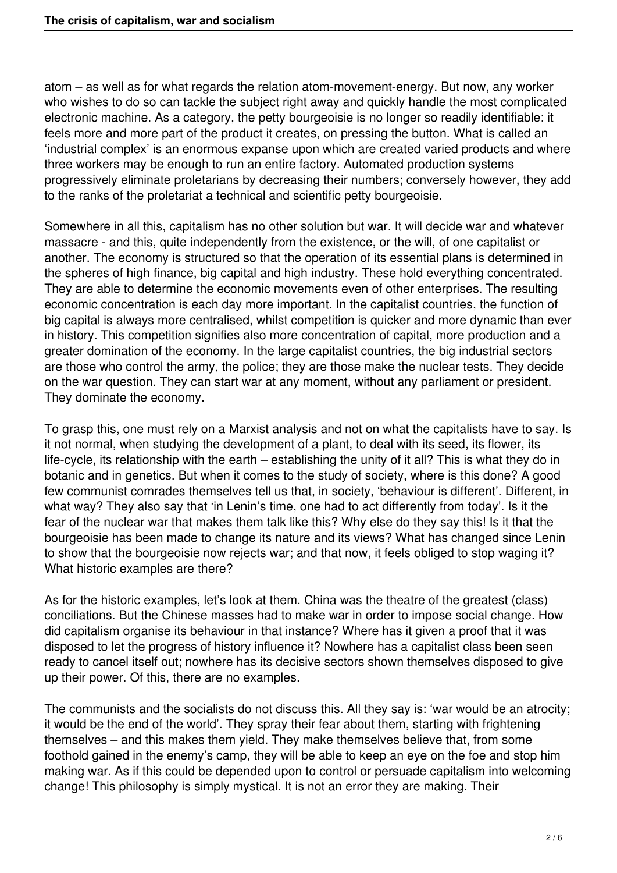atom – as well as for what regards the relation atom-movement-energy. But now, any worker who wishes to do so can tackle the subject right away and quickly handle the most complicated electronic machine. As a category, the petty bourgeoisie is no longer so readily identifiable: it feels more and more part of the product it creates, on pressing the button. What is called an 'industrial complex' is an enormous expanse upon which are created varied products and where three workers may be enough to run an entire factory. Automated production systems progressively eliminate proletarians by decreasing their numbers; conversely however, they add to the ranks of the proletariat a technical and scientific petty bourgeoisie.

Somewhere in all this, capitalism has no other solution but war. It will decide war and whatever massacre - and this, quite independently from the existence, or the will, of one capitalist or another. The economy is structured so that the operation of its essential plans is determined in the spheres of high finance, big capital and high industry. These hold everything concentrated. They are able to determine the economic movements even of other enterprises. The resulting economic concentration is each day more important. In the capitalist countries, the function of big capital is always more centralised, whilst competition is quicker and more dynamic than ever in history. This competition signifies also more concentration of capital, more production and a greater domination of the economy. In the large capitalist countries, the big industrial sectors are those who control the army, the police; they are those make the nuclear tests. They decide on the war question. They can start war at any moment, without any parliament or president. They dominate the economy.

To grasp this, one must rely on a Marxist analysis and not on what the capitalists have to say. Is it not normal, when studying the development of a plant, to deal with its seed, its flower, its life-cycle, its relationship with the earth – establishing the unity of it all? This is what they do in botanic and in genetics. But when it comes to the study of society, where is this done? A good few communist comrades themselves tell us that, in society, 'behaviour is different'. Different, in what way? They also say that 'in Lenin's time, one had to act differently from today'. Is it the fear of the nuclear war that makes them talk like this? Why else do they say this! Is it that the bourgeoisie has been made to change its nature and its views? What has changed since Lenin to show that the bourgeoisie now rejects war; and that now, it feels obliged to stop waging it? What historic examples are there?

As for the historic examples, let's look at them. China was the theatre of the greatest (class) conciliations. But the Chinese masses had to make war in order to impose social change. How did capitalism organise its behaviour in that instance? Where has it given a proof that it was disposed to let the progress of history influence it? Nowhere has a capitalist class been seen ready to cancel itself out; nowhere has its decisive sectors shown themselves disposed to give up their power. Of this, there are no examples.

The communists and the socialists do not discuss this. All they say is: 'war would be an atrocity; it would be the end of the world'. They spray their fear about them, starting with frightening themselves – and this makes them yield. They make themselves believe that, from some foothold gained in the enemy's camp, they will be able to keep an eye on the foe and stop him making war. As if this could be depended upon to control or persuade capitalism into welcoming change! This philosophy is simply mystical. It is not an error they are making. Their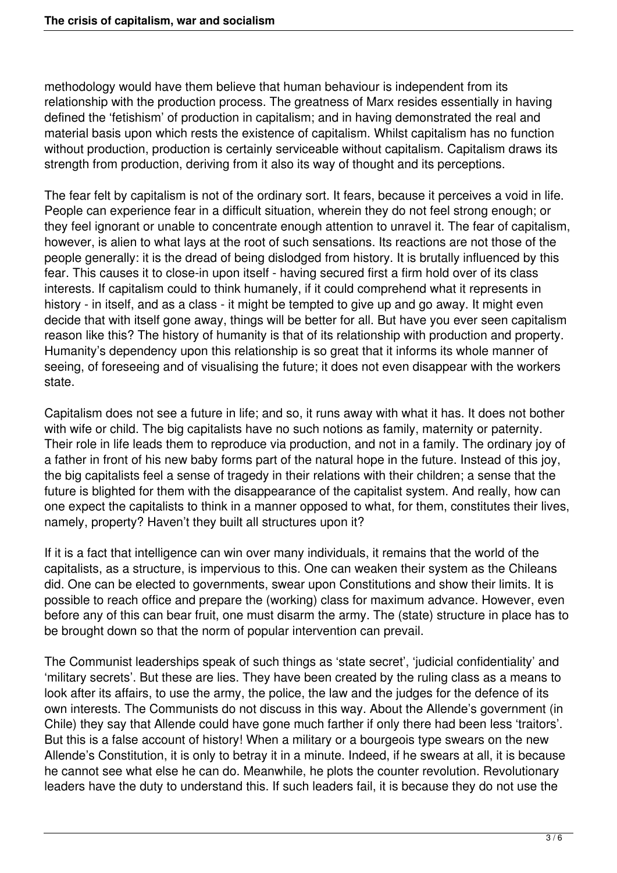methodology would have them believe that human behaviour is independent from its relationship with the production process. The greatness of Marx resides essentially in having defined the 'fetishism' of production in capitalism; and in having demonstrated the real and material basis upon which rests the existence of capitalism. Whilst capitalism has no function without production, production is certainly serviceable without capitalism. Capitalism draws its strength from production, deriving from it also its way of thought and its perceptions.

The fear felt by capitalism is not of the ordinary sort. It fears, because it perceives a void in life. People can experience fear in a difficult situation, wherein they do not feel strong enough; or they feel ignorant or unable to concentrate enough attention to unravel it. The fear of capitalism, however, is alien to what lays at the root of such sensations. Its reactions are not those of the people generally: it is the dread of being dislodged from history. It is brutally influenced by this fear. This causes it to close-in upon itself - having secured first a firm hold over of its class interests. If capitalism could to think humanely, if it could comprehend what it represents in history - in itself, and as a class - it might be tempted to give up and go away. It might even decide that with itself gone away, things will be better for all. But have you ever seen capitalism reason like this? The history of humanity is that of its relationship with production and property. Humanity's dependency upon this relationship is so great that it informs its whole manner of seeing, of foreseeing and of visualising the future; it does not even disappear with the workers state.

Capitalism does not see a future in life; and so, it runs away with what it has. It does not bother with wife or child. The big capitalists have no such notions as family, maternity or paternity. Their role in life leads them to reproduce via production, and not in a family. The ordinary joy of a father in front of his new baby forms part of the natural hope in the future. Instead of this joy, the big capitalists feel a sense of tragedy in their relations with their children; a sense that the future is blighted for them with the disappearance of the capitalist system. And really, how can one expect the capitalists to think in a manner opposed to what, for them, constitutes their lives, namely, property? Haven't they built all structures upon it?

If it is a fact that intelligence can win over many individuals, it remains that the world of the capitalists, as a structure, is impervious to this. One can weaken their system as the Chileans did. One can be elected to governments, swear upon Constitutions and show their limits. It is possible to reach office and prepare the (working) class for maximum advance. However, even before any of this can bear fruit, one must disarm the army. The (state) structure in place has to be brought down so that the norm of popular intervention can prevail.

The Communist leaderships speak of such things as 'state secret', 'judicial confidentiality' and 'military secrets'. But these are lies. They have been created by the ruling class as a means to look after its affairs, to use the army, the police, the law and the judges for the defence of its own interests. The Communists do not discuss in this way. About the Allende's government (in Chile) they say that Allende could have gone much farther if only there had been less 'traitors'. But this is a false account of history! When a military or a bourgeois type swears on the new Allende's Constitution, it is only to betray it in a minute. Indeed, if he swears at all, it is because he cannot see what else he can do. Meanwhile, he plots the counter revolution. Revolutionary leaders have the duty to understand this. If such leaders fail, it is because they do not use the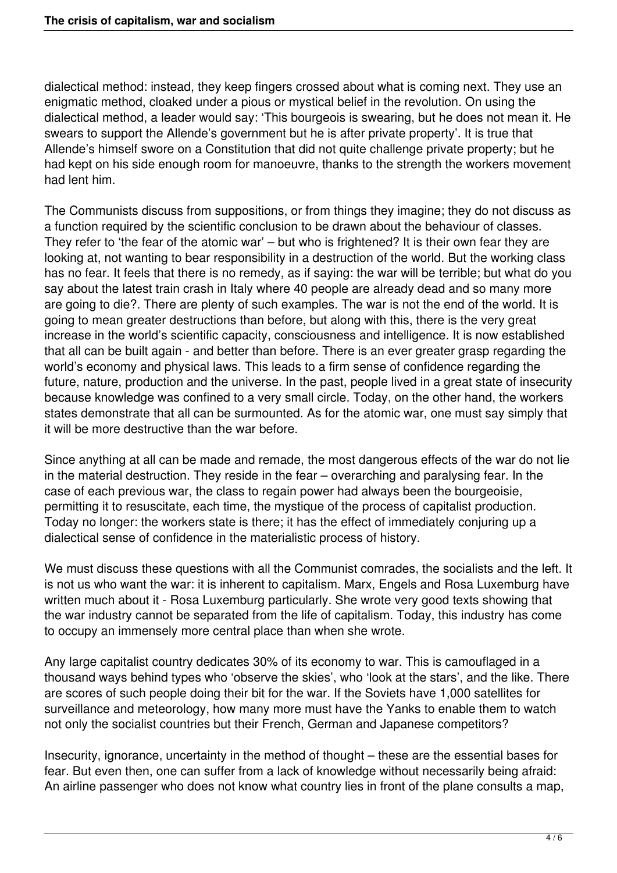dialectical method: instead, they keep fingers crossed about what is coming next. They use an enigmatic method, cloaked under a pious or mystical belief in the revolution. On using the dialectical method, a leader would say: 'This bourgeois is swearing, but he does not mean it. He swears to support the Allende's government but he is after private property'. It is true that Allende's himself swore on a Constitution that did not quite challenge private property; but he had kept on his side enough room for manoeuvre, thanks to the strength the workers movement had lent him.

The Communists discuss from suppositions, or from things they imagine; they do not discuss as a function required by the scientific conclusion to be drawn about the behaviour of classes. They refer to 'the fear of the atomic war' – but who is frightened? It is their own fear they are looking at, not wanting to bear responsibility in a destruction of the world. But the working class has no fear. It feels that there is no remedy, as if saying: the war will be terrible; but what do you say about the latest train crash in Italy where 40 people are already dead and so many more are going to die?. There are plenty of such examples. The war is not the end of the world. It is going to mean greater destructions than before, but along with this, there is the very great increase in the world's scientific capacity, consciousness and intelligence. It is now established that all can be built again - and better than before. There is an ever greater grasp regarding the world's economy and physical laws. This leads to a firm sense of confidence regarding the future, nature, production and the universe. In the past, people lived in a great state of insecurity because knowledge was confined to a very small circle. Today, on the other hand, the workers states demonstrate that all can be surmounted. As for the atomic war, one must say simply that it will be more destructive than the war before.

Since anything at all can be made and remade, the most dangerous effects of the war do not lie in the material destruction. They reside in the fear – overarching and paralysing fear. In the case of each previous war, the class to regain power had always been the bourgeoisie, permitting it to resuscitate, each time, the mystique of the process of capitalist production. Today no longer: the workers state is there; it has the effect of immediately conjuring up a dialectical sense of confidence in the materialistic process of history.

We must discuss these questions with all the Communist comrades, the socialists and the left. It is not us who want the war: it is inherent to capitalism. Marx, Engels and Rosa Luxemburg have written much about it - Rosa Luxemburg particularly. She wrote very good texts showing that the war industry cannot be separated from the life of capitalism. Today, this industry has come to occupy an immensely more central place than when she wrote.

Any large capitalist country dedicates 30% of its economy to war. This is camouflaged in a thousand ways behind types who 'observe the skies', who 'look at the stars', and the like. There are scores of such people doing their bit for the war. If the Soviets have 1,000 satellites for surveillance and meteorology, how many more must have the Yanks to enable them to watch not only the socialist countries but their French, German and Japanese competitors?

Insecurity, ignorance, uncertainty in the method of thought – these are the essential bases for fear. But even then, one can suffer from a lack of knowledge without necessarily being afraid: An airline passenger who does not know what country lies in front of the plane consults a map,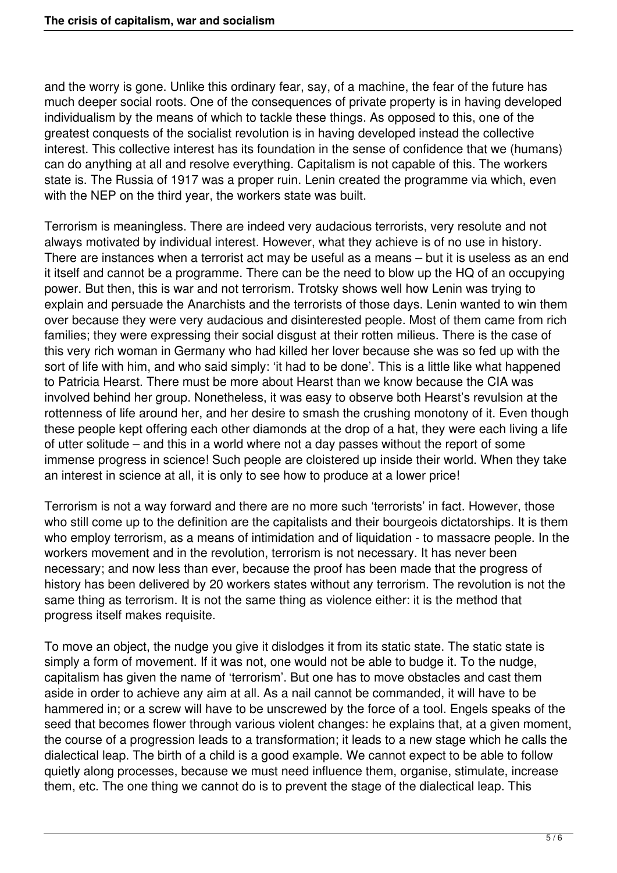and the worry is gone. Unlike this ordinary fear, say, of a machine, the fear of the future has much deeper social roots. One of the consequences of private property is in having developed individualism by the means of which to tackle these things. As opposed to this, one of the greatest conquests of the socialist revolution is in having developed instead the collective interest. This collective interest has its foundation in the sense of confidence that we (humans) can do anything at all and resolve everything. Capitalism is not capable of this. The workers state is. The Russia of 1917 was a proper ruin. Lenin created the programme via which, even with the NEP on the third year, the workers state was built.

Terrorism is meaningless. There are indeed very audacious terrorists, very resolute and not always motivated by individual interest. However, what they achieve is of no use in history. There are instances when a terrorist act may be useful as a means – but it is useless as an end it itself and cannot be a programme. There can be the need to blow up the HQ of an occupying power. But then, this is war and not terrorism. Trotsky shows well how Lenin was trying to explain and persuade the Anarchists and the terrorists of those days. Lenin wanted to win them over because they were very audacious and disinterested people. Most of them came from rich families; they were expressing their social disgust at their rotten milieus. There is the case of this very rich woman in Germany who had killed her lover because she was so fed up with the sort of life with him, and who said simply: 'it had to be done'. This is a little like what happened to Patricia Hearst. There must be more about Hearst than we know because the CIA was involved behind her group. Nonetheless, it was easy to observe both Hearst's revulsion at the rottenness of life around her, and her desire to smash the crushing monotony of it. Even though these people kept offering each other diamonds at the drop of a hat, they were each living a life of utter solitude – and this in a world where not a day passes without the report of some immense progress in science! Such people are cloistered up inside their world. When they take an interest in science at all, it is only to see how to produce at a lower price!

Terrorism is not a way forward and there are no more such 'terrorists' in fact. However, those who still come up to the definition are the capitalists and their bourgeois dictatorships. It is them who employ terrorism, as a means of intimidation and of liquidation - to massacre people. In the workers movement and in the revolution, terrorism is not necessary. It has never been necessary; and now less than ever, because the proof has been made that the progress of history has been delivered by 20 workers states without any terrorism. The revolution is not the same thing as terrorism. It is not the same thing as violence either: it is the method that progress itself makes requisite.

To move an object, the nudge you give it dislodges it from its static state. The static state is simply a form of movement. If it was not, one would not be able to budge it. To the nudge, capitalism has given the name of 'terrorism'. But one has to move obstacles and cast them aside in order to achieve any aim at all. As a nail cannot be commanded, it will have to be hammered in; or a screw will have to be unscrewed by the force of a tool. Engels speaks of the seed that becomes flower through various violent changes: he explains that, at a given moment, the course of a progression leads to a transformation; it leads to a new stage which he calls the dialectical leap. The birth of a child is a good example. We cannot expect to be able to follow quietly along processes, because we must need influence them, organise, stimulate, increase them, etc. The one thing we cannot do is to prevent the stage of the dialectical leap. This